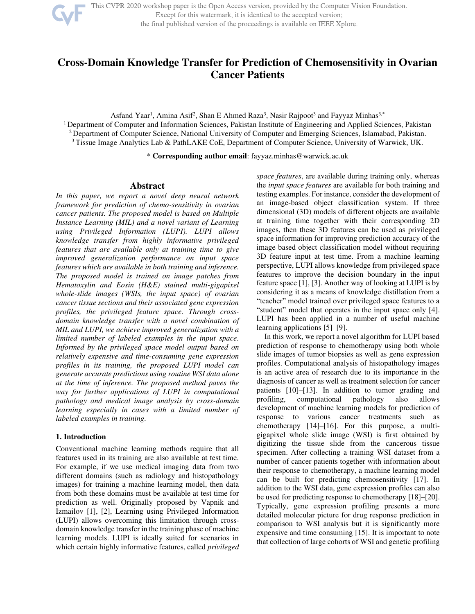

This CVPR 2020 workshop paper is the Open Access version, provided by the Computer Vision Foundation.

Except for this watermark, it is identical to the accepted version;

the final published version of the proceedings is available on IEEE Xplore.

# **Cross-Domain Knowledge Transfer for Prediction of Chemosensitivity in Ovarian Cancer Patients**

Asfand Yaar<sup>1</sup>, Amina Asif<sup>2</sup>, Shan E Ahmed Raza<sup>3</sup>, Nasir Rajpoot<sup>3</sup> and Fayyaz Minhas<sup>3,\*</sup>

<sup>1</sup> Department of Computer and Information Sciences, Pakistan Institute of Engineering and Applied Sciences, Pakistan <sup>2</sup> Department of Computer Science, National University of Computer and Emerging Sciences, Islamabad, Pakistan. <sup>3</sup>Tissue Image Analytics Lab & PathLAKE CoE, Department of Computer Science, University of Warwick, UK.

\* **Corresponding author email**: [fayyaz.minhas@warwick.ac.uk](mailto:fayyaz.minhas@warwick.ac.uk) 

# **Abstract**

*In this paper, we report a novel deep neural network framework for prediction of chemo-sensitivity in ovarian cancer patients. The proposed model is based on Multiple Instance Learning (MIL) and a novel variant of Learning using Privileged Information (LUPI). LUPI allows knowledge transfer from highly informative privileged features that are available only at training time to give improved generalization performance on input space features which are available in both training and inference. The proposed model is trained on image patches from Hematoxylin and Eosin (H&E) stained multi-gigapixel whole-slide images (WSIs, the input space) of ovarian cancer tissue sections and their associated gene expression profiles, the privileged feature space. Through crossdomain knowledge transfer with a novel combination of MIL and LUPI, we achieve improved generalization with a limited number of labeled examples in the input space. Informed by the privileged space model output based on relatively expensive and time-consuming gene expression profiles in its training, the proposed LUPI model can generate accurate predictions using routine WSI data alone at the time of inference. The proposed method paves the way for further applications of LUPI in computational pathology and medical image analysis by cross-domain learning especially in cases with a limited number of labeled examples in training.* 

# **1. Introduction**

Conventional machine learning methods require that all features used in its training are also available at test time. For example, if we use medical imaging data from two different domains (such as radiology and histopathology images) for training a machine learning model, then data from both these domains must be available at test time for prediction as well. Originally proposed by Vapnik and Izmailov [1], [2], Learning using Privileged Information (LUPI) allows overcoming this limitation through crossdomain knowledge transfer in the training phase of machine learning models. LUPI is ideally suited for scenarios in which certain highly informative features, called *privileged*  *space features*, are available during training only, whereas the *input space features* are available for both training and testing examples. For instance, consider the development of an image-based object classification system. If three dimensional (3D) models of different objects are available at training time together with their corresponding 2D images, then these 3D features can be used as privileged space information for improving prediction accuracy of the image based object classification model without requiring 3D feature input at test time. From a machine learning perspective, LUPI allows knowledge from privileged space features to improve the decision boundary in the input feature space [1], [3]. Another way of looking at LUPI is by considering it as a means of knowledge distillation from a "teacher" model trained over privileged space features to a "student" model that operates in the input space only [4]. LUPI has been applied in a number of useful machine learning applications [5]–[9].

In this work, we report a novel algorithm for LUPI based prediction of response to chemotherapy using both whole slide images of tumor biopsies as well as gene expression profiles. Computational analysis of histopathology images is an active area of research due to its importance in the diagnosis of cancer as well as treatment selection for cancer patients [10]–[13]. In addition to tumor grading and profiling, computational pathology also allows development of machine learning models for prediction of response to various cancer treatments such as chemotherapy [14]–[16]. For this purpose, a multigigapixel whole slide image (WSI) is first obtained by digitizing the tissue slide from the cancerous tissue specimen. After collecting a training WSI dataset from a number of cancer patients together with information about their response to chemotherapy, a machine learning model can be built for predicting chemosensitivity [17]. In addition to the WSI data, gene expression profiles can also be used for predicting response to chemotherapy [18]–[20]. Typically, gene expression profiling presents a more detailed molecular picture for drug response prediction in comparison to WSI analysis but it is significantly more expensive and time consuming [15]. It is important to note that collection of large cohorts of WSI and genetic profiling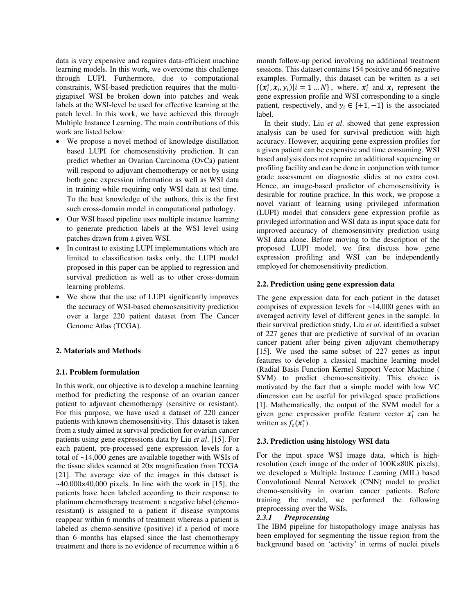data is very expensive and requires data-efficient machine learning models. In this work, we overcome this challenge through LUPI. Furthermore, due to computational constraints, WSI-based prediction requires that the multigigapixel WSI be broken down into patches and weak labels at the WSI-level be used for effective learning at the patch level. In this work, we have achieved this through Multiple Instance Learning. The main contributions of this work are listed below:

- We propose a novel method of knowledge distillation based LUPI for chemosensitivity prediction. It can predict whether an Ovarian Carcinoma (OvCa) patient will respond to adjuvant chemotherapy or not by using both gene expression information as well as WSI data in training while requiring only WSI data at test time. To the best knowledge of the authors, this is the first such cross-domain model in computational pathology.
- Our WSI based pipeline uses multiple instance learning to generate prediction labels at the WSI level using patches drawn from a given WSI.
- In contrast to existing LUPI implementations which are limited to classification tasks only, the LUPI model proposed in this paper can be applied to regression and survival prediction as well as to other cross-domain learning problems.
- We show that the use of LUPI significantly improves the accuracy of WSI-based chemosensitivity prediction over a large 220 patient dataset from The Cancer Genome Atlas (TCGA).

# **2. Materials and Methods**

# **2.1. Problem formulation**

In this work, our objective is to develop a machine learning method for predicting the response of an ovarian cancer patient to adjuvant chemotherapy (sensitive or resistant). For this purpose, we have used a dataset of 220 cancer patients with known chemosensitivity. This dataset is taken from a study aimed at survival prediction for ovarian cancer patients using gene expressions data by Liu *et al*. [15]. For each patient, pre-processed gene expression levels for a total of ~14,000 genes are available together with WSIs of the tissue slides scanned at 20× magnification from TCGA [21]. The average size of the images in this dataset is  $\sim$ 40,000 $\times$ 40,000 pixels. In line with the work in [15], the patients have been labeled according to their response to platinum chemotherapy treatment: a negative label (chemoresistant) is assigned to a patient if disease symptoms reappear within 6 months of treatment whereas a patient is labeled as chemo-sensitive (positive) if a period of more than 6 months has elapsed since the last chemotherapy treatment and there is no evidence of recurrence within a 6 month follow-up period involving no additional treatment sessions. This dataset contains 154 positive and 66 negative examples. Formally, this dataset can be written as a set  $\{(x_i^*, x_i, y_i)|i = 1...N\}$ , where,  $x_i^*$  and  $x_i$  represent the gene expression profile and WSI corresponding to a single patient, respectively, and  $y_i \in \{+1, -1\}$  is the associated label.

In their study, Liu *et al*. showed that gene expression analysis can be used for survival prediction with high accuracy. However, acquiring gene expression profiles for a given patient can be expensive and time consuming. WSI based analysis does not require an additional sequencing or profiling facility and can be done in conjunction with tumor grade assessment on diagnostic slides at no extra cost. Hence, an image-based predictor of chemosensitivity is desirable for routine practice. In this work, we propose a novel variant of learning using privileged information (LUPI) model that considers gene expression profile as privileged information and WSI data as input space data for improved accuracy of chemosensitivity prediction using WSI data alone. Before moving to the description of the proposed LUPI model, we first discuss how gene expression profiling and WSI can be independently employed for chemosensitivity prediction.

# **2.2. Prediction using gene expression data**

The gene expression data for each patient in the dataset comprises of expression levels for ~14,000 genes with an averaged activity level of different genes in the sample. In their survival prediction study, Liu *et al*. identified a subset of 227 genes that are predictive of survival of an ovarian cancer patient after being given adjuvant chemotherapy [15]. We used the same subset of 227 genes as input features to develop a classical machine learning model (Radial Basis Function Kernel Support Vector Machine ( SVM) to predict chemo-sensitivity. This choice is motivated by the fact that a simple model with low VC dimension can be useful for privileged space predictions [1]. Mathematically, the output of the SVM model for a given gene expression profile feature vector  $x_i^*$  can be written as  $f_t(\mathbf{x}_i^*)$ .

# **2.3. Prediction using histology WSI data**

For the input space WSI image data, which is highresolution (each image of the order of 100K×80K pixels), we developed a Multiple Instance Learning (MIL) based Convolutional Neural Network (CNN) model to predict chemo-sensitivity in ovarian cancer patients. Before training the model, we performed the following preprocessing over the WSIs.

# *2.3.1 Preprocessing*

The IBM pipeline for histopathology image analysis has been employed for segmenting the tissue region from the background based on 'activity' in terms of nuclei pixels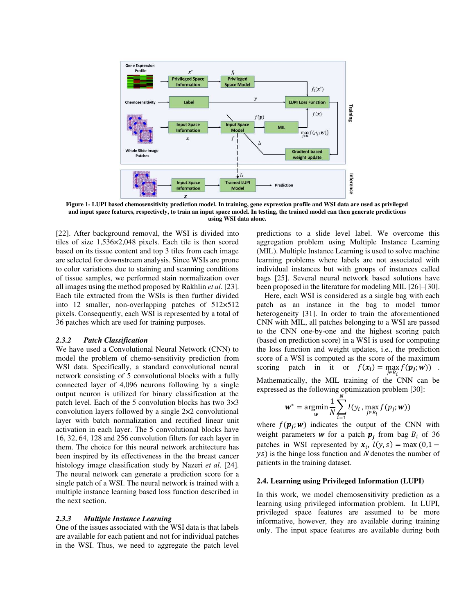

**Figure 1- LUPI based chemosensitivity prediction model. In training, gene expression profile and WSI data are used as privileged and input space features, respectively, to train an input space model. In testing, the trained model can then generate predictions using WSI data alone.** 

[22]. After background removal, the WSI is divided into tiles of size 1,536×2,048 pixels. Each tile is then scored based on its tissue content and top 3 tiles from each image are selected for downstream analysis. Since WSIs are prone to color variations due to staining and scanning conditions of tissue samples, we performed stain normalization over all images using the method proposed by Rakhlin *et al*. [23]. Each tile extracted from the WSIs is then further divided into 12 smaller, non-overlapping patches of 512×512 pixels. Consequently, each WSI is represented by a total of 36 patches which are used for training purposes.

#### *2.3.2 Patch Classification*

We have used a Convolutional Neural Network (CNN) to model the problem of chemo-sensitivity prediction from WSI data. Specifically, a standard convolutional neural network consisting of 5 convolutional blocks with a fully connected layer of 4,096 neurons following by a single output neuron is utilized for binary classification at the patch level. Each of the 5 convolution blocks has two 3×3 convolution layers followed by a single 2×2 convolutional layer with batch normalization and rectified linear unit activation in each layer. The 5 convolutional blocks have 16, 32, 64, 128 and 256 convolution filters for each layer in them. The choice for this neural network architecture has been inspired by its effectiveness in the the breast cancer histology image classification study by Nazeri *et al*. [24]. The neural network can generate a prediction score for a single patch of a WSI. The neural network is trained with a multiple instance learning based loss function described in the next section.

#### *2.3.3 Multiple Instance Learning*

One of the issues associated with the WSI data is that labels are available for each patient and not for individual patches in the WSI. Thus, we need to aggregate the patch level predictions to a slide level label. We overcome this aggregation problem using Multiple Instance Learning (MIL). Multiple Instance Learning is used to solve machine learning problems where labels are not associated with individual instances but with groups of instances called bags [25]. Several neural network based solutions have been proposed in the literature for modeling MIL [26]–[30].

Here, each WSI is considered as a single bag with each patch as an instance in the bag to model tumor heterogeneity [31]. In order to train the aforementioned CNN with MIL, all patches belonging to a WSI are passed to the CNN one-by-one and the highest scoring patch (based on prediction score) in a WSI is used for computing the loss function and weight updates, i.e., the prediction score of a WSI is computed as the score of the maximum scoring patch in it or  $f(x_i) = \max_{i \in R_i} f(p_i; w)$ . Mathematically, the MIL training of the CNN can be

expressed as the following optimization problem [30]:

$$
\mathbf{w}^* = \underset{\mathbf{w}}{\text{argmin}} \frac{1}{N} \sum_{i=1}^N l(y_i, \max_{j \in B_i} f(p_j; \mathbf{w}))
$$

where  $f(\mathbf{p}_j; w)$  indicates the output of the CNN with weight parameters **w** for a patch  $p_j$  from bag  $B_i$  of 36 patches in WSI represented by  $x_i$ ,  $l(y, s) = \max(0, 1 - \frac{1}{s})$  $\gamma$ s) is the hinge loss function and N denotes the number of patients in the training dataset.

# **2.4. Learning using Privileged Information (LUPI)**

In this work, we model chemosensitivity prediction as a learning using privileged information problem. In LUPI, privileged space features are assumed to be more informative, however, they are available during training only. The input space features are available during both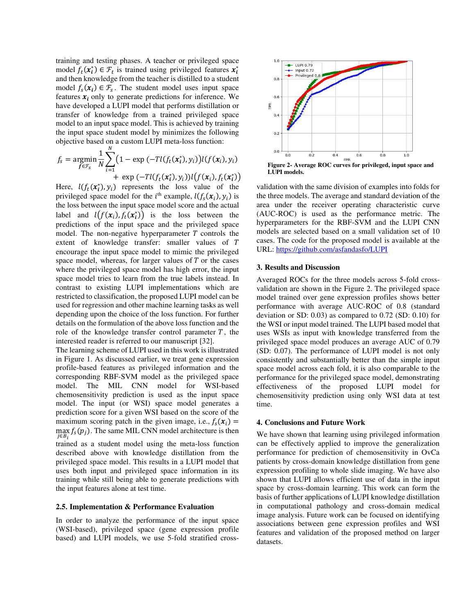training and testing phases. A teacher or privileged space model  $f_t(x_i^*) \in \mathcal{F}_t$  is trained using privileged features  $x_i^*$ and then knowledge from the teacher is distilled to a student model  $f_s(x_i) \in \mathcal{F}_s$ . The student model uses input space features  $x_i$  only to generate predictions for inference. We have developed a LUPI model that performs distillation or transfer of knowledge from a trained privileged space model to an input space model. This is achieved by training the input space student model by minimizes the following objective based on a custom LUPI meta-loss function:

$$
f_s = \underset{f \in \mathcal{F}_s}{\text{argmin}} \frac{1}{N} \sum_{i=1}^N \big( 1 - \exp(-T l(f_t(x_i^*), y_i)) l(f(x_i), y_i) + \exp(-T l(f_t(x_i^*), y_i)) l(f(x_i), f_t(x_i^*)) \big)
$$

Here,  $l(f_t(x_i^*), y_i)$  represents the loss value of the privileged space model for the  $i^{\text{th}}$  example,  $l(f_s(\boldsymbol{x}_i), y_i)$  is the loss between the input space model score and the actual label and  $l(f(x_i), f_t(x_i^*))$  is the loss between the predictions of the input space and the privileged space model. The non-negative hyperparameter  $T$  controls the extent of knowledge transfer: smaller values of T encourage the input space model to mimic the privileged space model, whereas, for larger values of  $T$  or the cases where the privileged space model has high error, the input space model tries to learn from the true labels instead. In contrast to existing LUPI implementations which are restricted to classification, the proposed LUPI model can be used for regression and other machine learning tasks as well depending upon the choice of the loss function. For further details on the formulation of the above loss function and the role of the knowledge transfer control parameter  $T$ , the interested reader is referred to our manuscript [32].

The learning scheme of LUPI used in this work is illustrated in Figure 1. As discussed earlier, we treat gene expression profile-based features as privileged information and the corresponding RBF-SVM model as the privileged space model. The MIL CNN model for WSI-based chemosensitivity prediction is used as the input space model. The input (or WSI) space model generates a prediction score for a given WSI based on the score of the maximum scoring patch in the given image, i.e.,  $f_s(\mathbf{x}_i) =$ max  $f_s(p_j)$ . The same MIL CNN model architecture is then  $j \in B_i$ trained as a student model using the meta-loss function described above with knowledge distillation from the privileged space model. This results in a LUPI model that uses both input and privileged space information in its training while still being able to generate predictions with

# **2.5. Implementation & Performance Evaluation**

the input features alone at test time.

In order to analyze the performance of the input space (WSI-based), privileged space (gene expression profile based) and LUPI models, we use 5-fold stratified cross-



**Figure 2- Average ROC curves for privileged, input space and LUPI models.** 

validation with the same division of examples into folds for the three models. The average and standard deviation of the area under the receiver operating characteristic curve (AUC-ROC) is used as the performance metric. The hyperparameters for the RBF-SVM and the LUPI CNN models are selected based on a small validation set of 10 cases. The code for the proposed model is available at the URL:<https://github.com/asfandasfo/LUPI>

# **3. Results and Discussion**

Averaged ROCs for the three models across 5-fold crossvalidation are shown in the Figure 2. The privileged space model trained over gene expression profiles shows better performance with average AUC-ROC of 0.8 (standard deviation or SD: 0.03) as compared to 0.72 (SD: 0.10) for the WSI or input model trained. The LUPI based model that uses WSIs as input with knowledge transferred from the privileged space model produces an average AUC of 0.79 (SD: 0.07). The performance of LUPI model is not only consistently and substantially better than the simple input space model across each fold, it is also comparable to the performance for the privileged space model, demonstrating effectiveness of the proposed LUPI model for chemosensitivity prediction using only WSI data at test time.

# **4. Conclusions and Future Work**

We have shown that learning using privileged information can be effectively applied to improve the generalization performance for prediction of chemosensitivity in OvCa patients by cross-domain knowledge distillation from gene expression profiling to whole slide imaging. We have also shown that LUPI allows efficient use of data in the input space by cross-domain learning. This work can form the basis of further applications of LUPI knowledge distillation in computational pathology and cross-domain medical image analysis. Future work can be focused on identifying associations between gene expression profiles and WSI features and validation of the proposed method on larger datasets.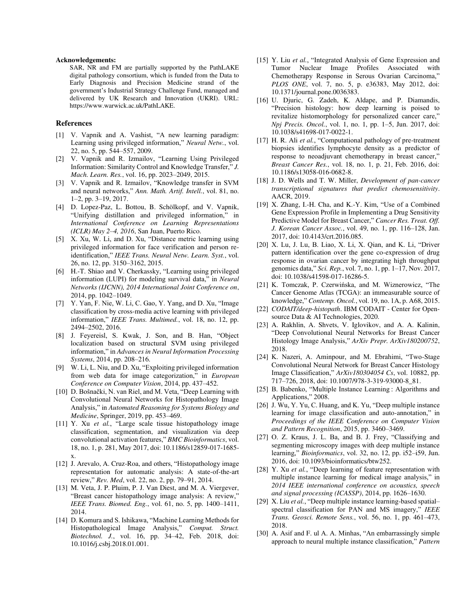#### **Acknowledgements:**

SAR, NR and FM are partially supported by the PathLAKE digital pathology consortium, which is funded from the Data to Early Diagnosis and Precision Medicine strand of the government's Industrial Strategy Challenge Fund, managed and delivered by UK Research and Innovation (UKRI). URL: [https://www.warwick.ac.uk/PathLAKE.](https://www.warwick.ac.uk/PathLAKE)

# **References**

- [1] V. Vapnik and A. Vashist, "A new learning paradigm: Learning using privileged information," *Neural Netw.*, vol. 22, no. 5, pp. 544–557, 2009.
- [2] V. Vapnik and R. Izmailov, "Learning Using Privileged Information: Similarity Control and Knowledge Transfer," *J. Mach. Learn. Res.*, vol. 16, pp. 2023–2049, 2015.
- [3] V. Vapnik and R. Izmailov, "Knowledge transfer in SVM and neural networks," *Ann. Math. Artif. Intell.*, vol. 81, no. 1–2, pp. 3–19, 2017.
- [4] D. Lopez-Paz, L. Bottou, B. Schölkopf, and V. Vapnik, "Unifying distillation and privileged information," in *International Conference on Learning Representations (ICLR) May 2–4, 2016*, San Juan, Puerto Rico.
- [5] X. Xu, W. Li, and D. Xu, "Distance metric learning using privileged information for face verification and person reidentification," *IEEE Trans. Neural Netw. Learn. Syst.*, vol. 26, no. 12, pp. 3150–3162, 2015.
- [6] H.-T. Shiao and V. Cherkassky, "Learning using privileged information (LUPI) for modeling survival data," in *Neural Networks (IJCNN), 2014 International Joint Conference on*, 2014, pp. 1042–1049.
- [7] Y. Yan, F. Nie, W. Li, C. Gao, Y. Yang, and D. Xu, "Image classification by cross-media active learning with privileged information," *IEEE Trans. Multimed.*, vol. 18, no. 12, pp. 2494–2502, 2016.
- [8] J. Feyereisl, S. Kwak, J. Son, and B. Han, "Object localization based on structural SVM using privileged information," in *Advances in Neural Information Processing Systems*, 2014, pp. 208–216.
- [9] W. Li, L. Niu, and D. Xu, "Exploiting privileged information from web data for image categorization," in *European Conference on Computer Vision*, 2014, pp. 437–452.
- [10] D. Bošnački, N. van Riel, and M. Veta, "Deep Learning with Convolutional Neural Networks for Histopathology Image Analysis," in *Automated Reasoning for Systems Biology and Medicine*, Springer, 2019, pp. 453–469.
- [11] Y. Xu *et al.*, "Large scale tissue histopathology image classification, segmentation, and visualization via deep convolutional activation features," *BMC Bioinformatics*, vol. 18, no. 1, p. 281, May 2017, doi: 10.1186/s12859-017-1685 x.
- [12] J. Arevalo, A. Cruz-Roa, and others, "Histopathology image representation for automatic analysis: A state-of-the-art review," *Rev. Med*, vol. 22, no. 2, pp. 79–91, 2014.
- [13] M. Veta, J. P. Pluim, P. J. Van Diest, and M. A. Viergever, "Breast cancer histopathology image analysis: A review," *IEEE Trans. Biomed. Eng.*, vol. 61, no. 5, pp. 1400–1411, 2014.
- [14] D. Komura and S. Ishikawa, "Machine Learning Methods for Histopathological Image Analysis," *Comput. Struct. Biotechnol. J.*, vol. 16, pp. 34–42, Feb. 2018, doi: 10.1016/j.csbj.2018.01.001.
- [15] Y. Liu *et al.*, "Integrated Analysis of Gene Expression and Tumor Nuclear Image Profiles Associated with Chemotherapy Response in Serous Ovarian Carcinoma," *PLOS ONE*, vol. 7, no. 5, p. e36383, May 2012, doi: 10.1371/journal.pone.0036383.
- [16] U. Djuric, G. Zadeh, K. Aldape, and P. Diamandis, "Precision histology: how deep learning is poised to revitalize histomorphology for personalized cancer care," *Npj Precis. Oncol.*, vol. 1, no. 1, pp. 1–5, Jun. 2017, doi: 10.1038/s41698-017-0022-1.
- [17] H. R. Ali *et al.*, "Computational pathology of pre-treatment biopsies identifies lymphocyte density as a predictor of response to neoadjuvant chemotherapy in breast cancer," *Breast Cancer Res.*, vol. 18, no. 1, p. 21, Feb. 2016, doi: 10.1186/s13058-016-0682-8.
- [18] J. D. Wells and T. W. Miller, *Development of pan-cancer transcriptional signatures that predict chemosensitivity*. AACR, 2019.
- [19] X. Zhang, I.-H. Cha, and K.-Y. Kim, "Use of a Combined Gene Expression Profile in Implementing a Drug Sensitivity Predictive Model for Breast Cancer," *Cancer Res. Treat. Off. J. Korean Cancer Assoc.*, vol. 49, no. 1, pp. 116–128, Jan. 2017, doi: 10.4143/crt.2016.085.
- [20] X. Lu, J. Lu, B. Liao, X. Li, X. Qian, and K. Li, "Driver pattern identification over the gene co-expression of drug response in ovarian cancer by integrating high throughput genomics data," *Sci. Rep.*, vol. 7, no. 1, pp. 1–17, Nov. 2017, doi: 10.1038/s41598-017-16286-5.
- [21] K. Tomczak, P. Czerwińska, and M. Wiznerowicz, "The Cancer Genome Atlas (TCGA): an immeasurable source of knowledge," *Contemp. Oncol.*, vol. 19, no. 1A, p. A68, 2015.
- [22] *CODAIT/deep-histopath*. IBM CODAIT Center for Opensource Data & AI Technologies, 2020.
- [23] A. Rakhlin, A. Shvets, V. Iglovikov, and A. A. Kalinin, "Deep Convolutional Neural Networks for Breast Cancer Histology Image Analysis," *ArXiv Prepr. ArXiv180200752*, 2018.
- [24] K. Nazeri, A. Aminpour, and M. Ebrahimi, "Two-Stage Convolutional Neural Network for Breast Cancer Histology Image Classification," *ArXiv180304054 Cs*, vol. 10882, pp. 717–726, 2018, doi: 10.1007/978-3-319-93000-8\_81.
- [25] B. Babenko, "Multiple Instance Learning : Algorithms and Applications," 2008.
- [26] J. Wu, Y. Yu, C. Huang, and K. Yu, "Deep multiple instance learning for image classification and auto-annotation," in *Proceedings of the IEEE Conference on Computer Vision and Pattern Recognition*, 2015, pp. 3460–3469.
- [27] O. Z. Kraus, J. L. Ba, and B. J. Frey, "Classifying and segmenting microscopy images with deep multiple instance learning," *Bioinformatics*, vol. 32, no. 12, pp. i52–i59, Jun. 2016, doi: 10.1093/bioinformatics/btw252.
- [28] Y. Xu *et al.*, "Deep learning of feature representation with multiple instance learning for medical image analysis," in *2014 IEEE international conference on acoustics, speech and signal processing (ICASSP)*, 2014, pp. 1626–1630.
- [29] X. Liu *et al.*, "Deep multiple instance learning-based spatial– spectral classification for PAN and MS imagery," *IEEE Trans. Geosci. Remote Sens.*, vol. 56, no. 1, pp. 461–473, 2018.
- [30] A. Asif and F. ul A. A. Minhas, "An embarrassingly simple approach to neural multiple instance classification," *Pattern*